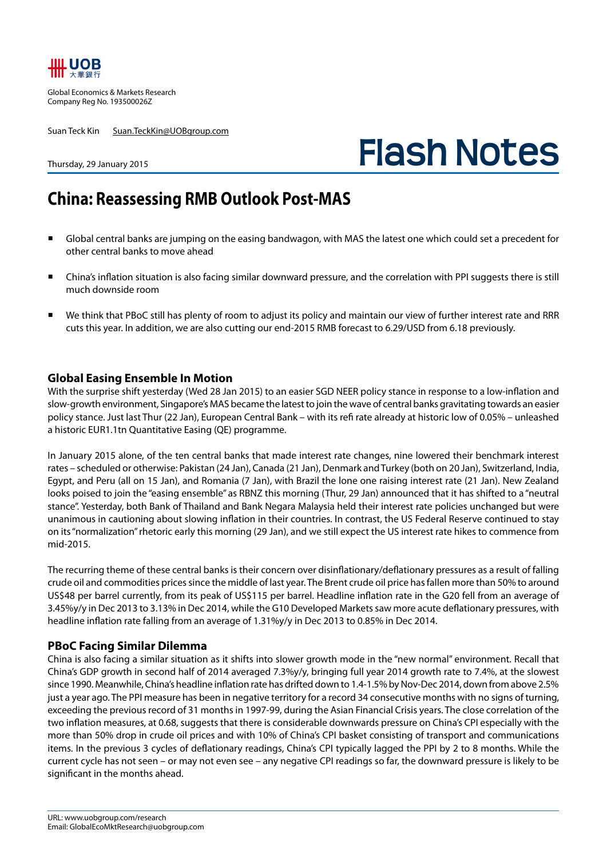

Global Economics & Markets Research Company Reg No. 193500026Z

Suan Teck Kin Suan.TeckKin@UOBgroup.com

# **Flash Notes**

#### Thursday, 29 January 2015

## **China: Reassessing RMB Outlook Post-MAS**

- Global central banks are jumping on the easing bandwagon, with MAS the latest one which could set a precedent for other central banks to move ahead
- China's inflation situation is also facing similar downward pressure, and the correlation with PPI suggests there is still much downside room
- We think that PBoC still has plenty of room to adjust its policy and maintain our view of further interest rate and RRR cuts this year. In addition, we are also cutting our end-2015 RMB forecast to 6.29/USD from 6.18 previously.

#### **Global Easing Ensemble In Motion**

With the surprise shift yesterday (Wed 28 Jan 2015) to an easier SGD NEER policy stance in response to a low-inflation and slow-growth environment, Singapore's MAS became the latest to join the wave of central banks gravitating towards an easier policy stance. Just last Thur (22 Jan), European Central Bank – with its refi rate already at historic low of 0.05% – unleashed a historic EUR1.1tn Quantitative Easing (QE) programme.

In January 2015 alone, of the ten central banks that made interest rate changes, nine lowered their benchmark interest rates – scheduled or otherwise: Pakistan (24 Jan), Canada (21 Jan), Denmark and Turkey (both on 20 Jan), Switzerland, India, Egypt, and Peru (all on 15 Jan), and Romania (7 Jan), with Brazil the lone one raising interest rate (21 Jan). New Zealand looks poised to join the "easing ensemble" as RBNZ this morning (Thur, 29 Jan) announced that it has shifted to a "neutral stance". Yesterday, both Bank of Thailand and Bank Negara Malaysia held their interest rate policies unchanged but were unanimous in cautioning about slowing inflation in their countries. In contrast, the US Federal Reserve continued to stay on its "normalization" rhetoric early this morning (29 Jan), and we still expect the US interest rate hikes to commence from mid-2015.

The recurring theme of these central banks is their concern over disinflationary/deflationary pressures as a result of falling crude oil and commodities prices since the middle of last year. The Brent crude oil price has fallen more than 50% to around US\$48 per barrel currently, from its peak of US\$115 per barrel. Headline inflation rate in the G20 fell from an average of 3.45%y/y in Dec 2013 to 3.13% in Dec 2014, while the G10 Developed Markets saw more acute deflationary pressures, with headline inflation rate falling from an average of 1.31%y/y in Dec 2013 to 0.85% in Dec 2014.

#### **PBoC Facing Similar Dilemma**

China is also facing a similar situation as it shifts into slower growth mode in the "new normal" environment. Recall that China's GDP growth in second half of 2014 averaged 7.3%y/y, bringing full year 2014 growth rate to 7.4%, at the slowest since 1990. Meanwhile, China's headline inflation rate has drifted down to 1.4-1.5% by Nov-Dec 2014, down from above 2.5% just a year ago. The PPI measure has been in negative territory for a record 34 consecutive months with no signs of turning, exceeding the previous record of 31 months in 1997-99, during the Asian Financial Crisis years. The close correlation of the two inflation measures, at 0.68, suggests that there is considerable downwards pressure on China's CPI especially with the more than 50% drop in crude oil prices and with 10% of China's CPI basket consisting of transport and communications items. In the previous 3 cycles of deflationary readings, China's CPI typically lagged the PPI by 2 to 8 months. While the current cycle has not seen – or may not even see – any negative CPI readings so far, the downward pressure is likely to be significant in the months ahead.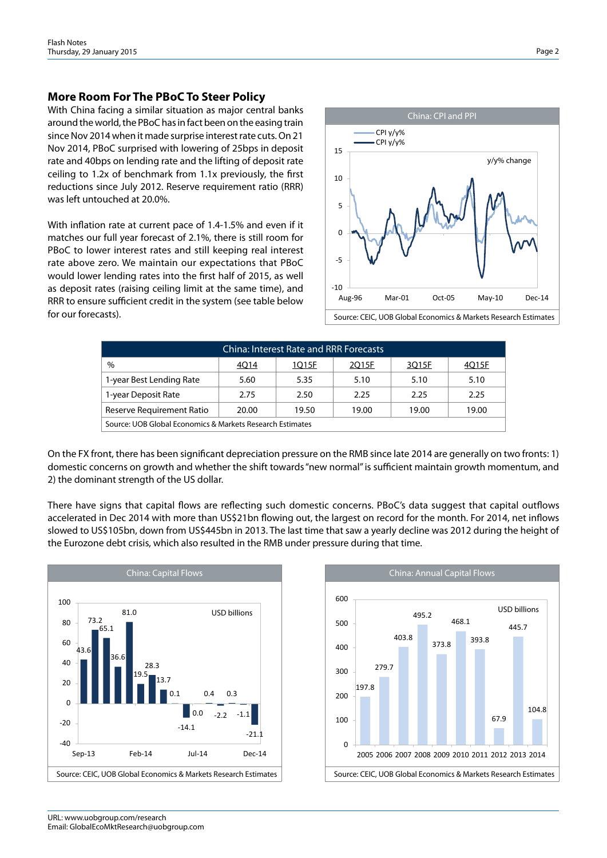#### **More Room For The PBoC To Steer Policy**

With China facing a similar situation as major central banks around the world, the PBoC has in fact been on the easing train since Nov 2014 when it made surprise interest rate cuts. On 21 Nov 2014, PBoC surprised with lowering of 25bps in deposit rate and 40bps on lending rate and the lifting of deposit rate ceiling to 1.2x of benchmark from 1.1x previously, the first reductions since July 2012. Reserve requirement ratio (RRR) was left untouched at 20.0%.

With inflation rate at current pace of 1.4-1.5% and even if it matches our full year forecast of 2.1%, there is still room for PBoC to lower interest rates and still keeping real interest rate above zero. We maintain our expectations that PBoC would lower lending rates into the first half of 2015, as well as deposit rates (raising ceiling limit at the same time), and RRR to ensure sufficient credit in the system (see table below for our forecasts).



| <b>China: Interest Rate and RRR Forecasts</b>             |       |       |       |       |       |  |  |  |
|-----------------------------------------------------------|-------|-------|-------|-------|-------|--|--|--|
| $\%$                                                      | 4Q14  | 1Q15F | 2Q15F | 3Q15F | 4Q15F |  |  |  |
| 1-year Best Lending Rate                                  | 5.60  | 5.35  | 5.10  | 5.10  | 5.10  |  |  |  |
| 1-year Deposit Rate                                       | 2.75  | 2.50  | 2.25  | 2.25  | 2.25  |  |  |  |
| Reserve Requirement Ratio                                 | 20.00 | 19.50 | 19.00 | 19.00 | 19.00 |  |  |  |
| Source: UOB Global Economics & Markets Research Estimates |       |       |       |       |       |  |  |  |

On the FX front, there has been significant depreciation pressure on the RMB since late 2014 are generally on two fronts: 1) domestic concerns on growth and whether the shift towards "new normal" is sufficient maintain growth momentum, and 2) the dominant strength of the US dollar.

There have signs that capital flows are reflecting such domestic concerns. PBoC's data suggest that capital outflows accelerated in Dec 2014 with more than US\$21bn flowing out, the largest on record for the month. For 2014, net inflows slowed to US\$105bn, down from US\$445bn in 2013. The last time that saw a yearly decline was 2012 during the height of the Eurozone debt crisis, which also resulted in the RMB under pressure during that time.



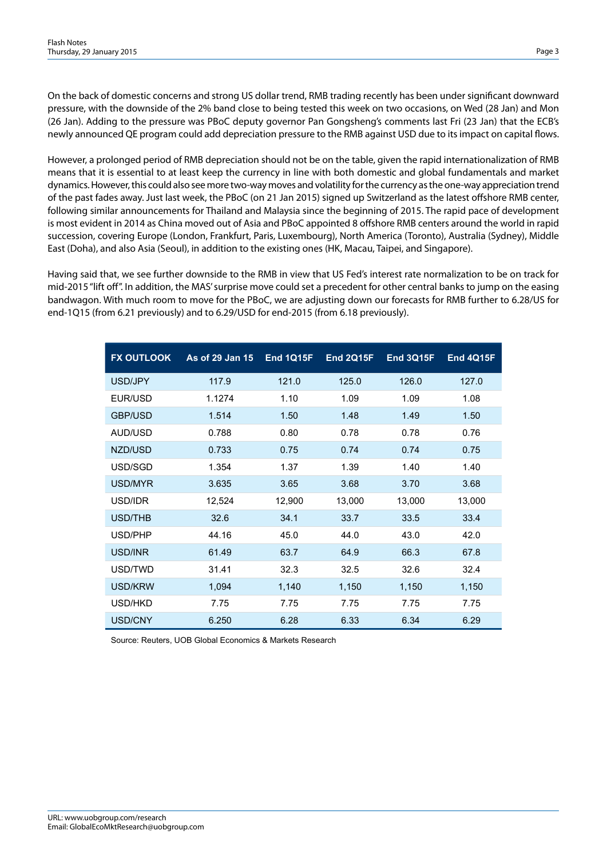On the back of domestic concerns and strong US dollar trend, RMB trading recently has been under significant downward pressure, with the downside of the 2% band close to being tested this week on two occasions, on Wed (28 Jan) and Mon (26 Jan). Adding to the pressure was PBoC deputy governor Pan Gongsheng's comments last Fri (23 Jan) that the ECB's newly announced QE program could add depreciation pressure to the RMB against USD due to its impact on capital flows.

However, a prolonged period of RMB depreciation should not be on the table, given the rapid internationalization of RMB means that it is essential to at least keep the currency in line with both domestic and global fundamentals and market dynamics. However, this could also see more two-way moves and volatility for the currency as the one-way appreciation trend of the past fades away. Just last week, the PBoC (on 21 Jan 2015) signed up Switzerland as the latest offshore RMB center, following similar announcements for Thailand and Malaysia since the beginning of 2015. The rapid pace of development is most evident in 2014 as China moved out of Asia and PBoC appointed 8 offshore RMB centers around the world in rapid succession, covering Europe (London, Frankfurt, Paris, Luxembourg), North America (Toronto), Australia (Sydney), Middle East (Doha), and also Asia (Seoul), in addition to the existing ones (HK, Macau, Taipei, and Singapore).

Having said that, we see further downside to the RMB in view that US Fed's interest rate normalization to be on track for mid-2015 "lift off". In addition, the MAS' surprise move could set a precedent for other central banks to jump on the easing bandwagon. With much room to move for the PBoC, we are adjusting down our forecasts for RMB further to 6.28/US for end-1Q15 (from 6.21 previously) and to 6.29/USD for end-2015 (from 6.18 previously).

| <b>FX OUTLOOK</b> | As of 29 Jan 15 | <b>End 1Q15F</b> | <b>End 2Q15F</b> | <b>End 3Q15F</b> | <b>End 4Q15F</b> |
|-------------------|-----------------|------------------|------------------|------------------|------------------|
| USD/JPY           | 117.9           | 121.0            | 125.0            | 126.0            | 127.0            |
| EUR/USD           | 1.1274          | 1.10             | 1.09             | 1.09             | 1.08             |
| <b>GBP/USD</b>    | 1.514           | 1.50             | 1.48             | 1.49             | 1.50             |
| AUD/USD           | 0.788           | 0.80             | 0.78             | 0.78             | 0.76             |
| NZD/USD           | 0.733           | 0.75             | 0.74             | 0.74             | 0.75             |
| USD/SGD           | 1.354           | 1.37             | 1.39             | 1.40             | 1.40             |
| USD/MYR           | 3.635           | 3.65             | 3.68             | 3.70             | 3.68             |
| USD/IDR           | 12,524          | 12,900           | 13,000           | 13,000           | 13,000           |
| USD/THB           | 32.6            | 34.1             | 33.7             | 33.5             | 33.4             |
| USD/PHP           | 44.16           | 45.0             | 44.0             | 43.0             | 42.0             |
| USD/INR           | 61.49           | 63.7             | 64.9             | 66.3             | 67.8             |
| USD/TWD           | 31.41           | 32.3             | 32.5             | 32.6             | 32.4             |
| USD/KRW           | 1,094           | 1,140            | 1,150            | 1,150            | 1,150            |
| USD/HKD           | 7.75            | 7.75             | 7.75             | 7.75             | 7.75             |
| USD/CNY           | 6.250           | 6.28             | 6.33             | 6.34             | 6.29             |

Source: Reuters, UOB Global Economics & Markets Research